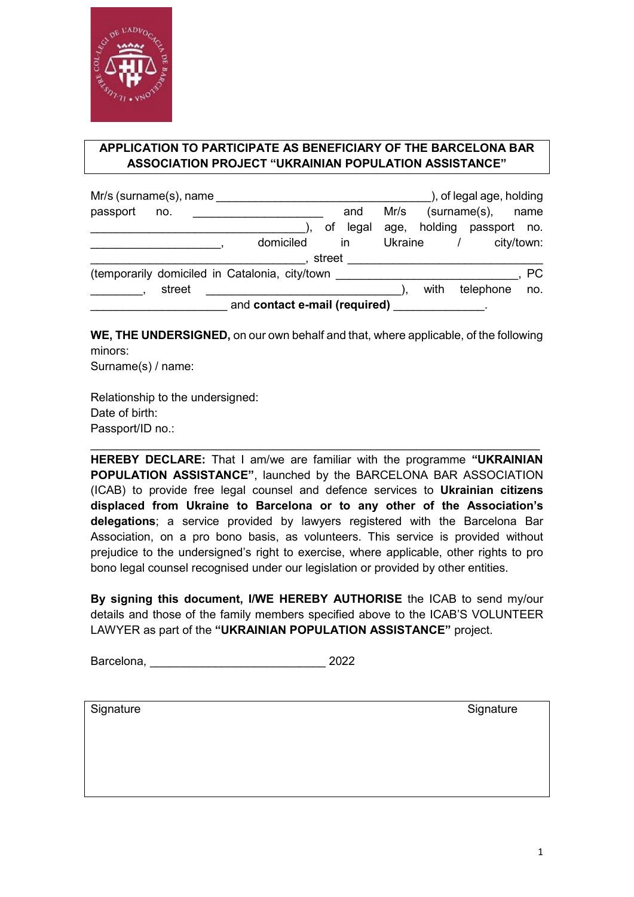

## **APPLICATION TO PARTICIPATE AS BENEFICIARY OF THE BARCELONA BAR ASSOCIATION PROJECT "UKRAINIAN POPULATION ASSISTANCE"**

| Mr/s (surname(s), name                         |        |  |           |  |          |         |                      | ), of legal age, holding  |            |  |
|------------------------------------------------|--------|--|-----------|--|----------|---------|----------------------|---------------------------|------------|--|
| passport                                       | no.    |  |           |  | and      | Mr/s    | (surname(s),<br>name |                           |            |  |
|                                                |        |  |           |  | of legal |         |                      | age, holding passport no. |            |  |
|                                                |        |  | domiciled |  | in       | Ukraine |                      |                           | city/town: |  |
| street                                         |        |  |           |  |          |         |                      |                           |            |  |
| (temporarily domiciled in Catalonia, city/town |        |  |           |  |          |         |                      |                           | <b>PC</b>  |  |
|                                                | street |  |           |  |          |         | with                 | telephone                 | no.        |  |
| and contact e-mail (required)                  |        |  |           |  |          |         |                      |                           |            |  |

**WE, THE UNDERSIGNED,** on our own behalf and that, where applicable, of the following minors:

Surname(s) / name:

Relationship to the undersigned: Date of birth: Passport/ID no.:

**HEREBY DECLARE:** That I am/we are familiar with the programme **"UKRAINIAN POPULATION ASSISTANCE"**, launched by the BARCELONA BAR ASSOCIATION (ICAB) to provide free legal counsel and defence services to **Ukrainian citizens displaced from Ukraine to Barcelona or to any other of the Association's delegations**; a service provided by lawyers registered with the Barcelona Bar Association, on a pro bono basis, as volunteers. This service is provided without prejudice to the undersigned's right to exercise, where applicable, other rights to pro bono legal counsel recognised under our legislation or provided by other entities.

\_\_\_\_\_\_\_\_\_\_\_\_\_\_\_\_\_\_\_\_\_\_\_\_\_\_\_\_\_\_\_\_\_\_\_\_\_\_\_\_\_\_\_\_\_\_\_\_\_\_\_\_\_\_\_\_\_\_\_\_\_\_\_\_\_\_\_\_\_

**By signing this document, I/WE HEREBY AUTHORISE** the ICAB to send my/our details and those of the family members specified above to the ICAB'S VOLUNTEER LAWYER as part of the **"UKRAINIAN POPULATION ASSISTANCE"** project.

Barcelona, 2022

Signature Signature Signature Signature Signature Signature Signature Signature Signature Signature Signature